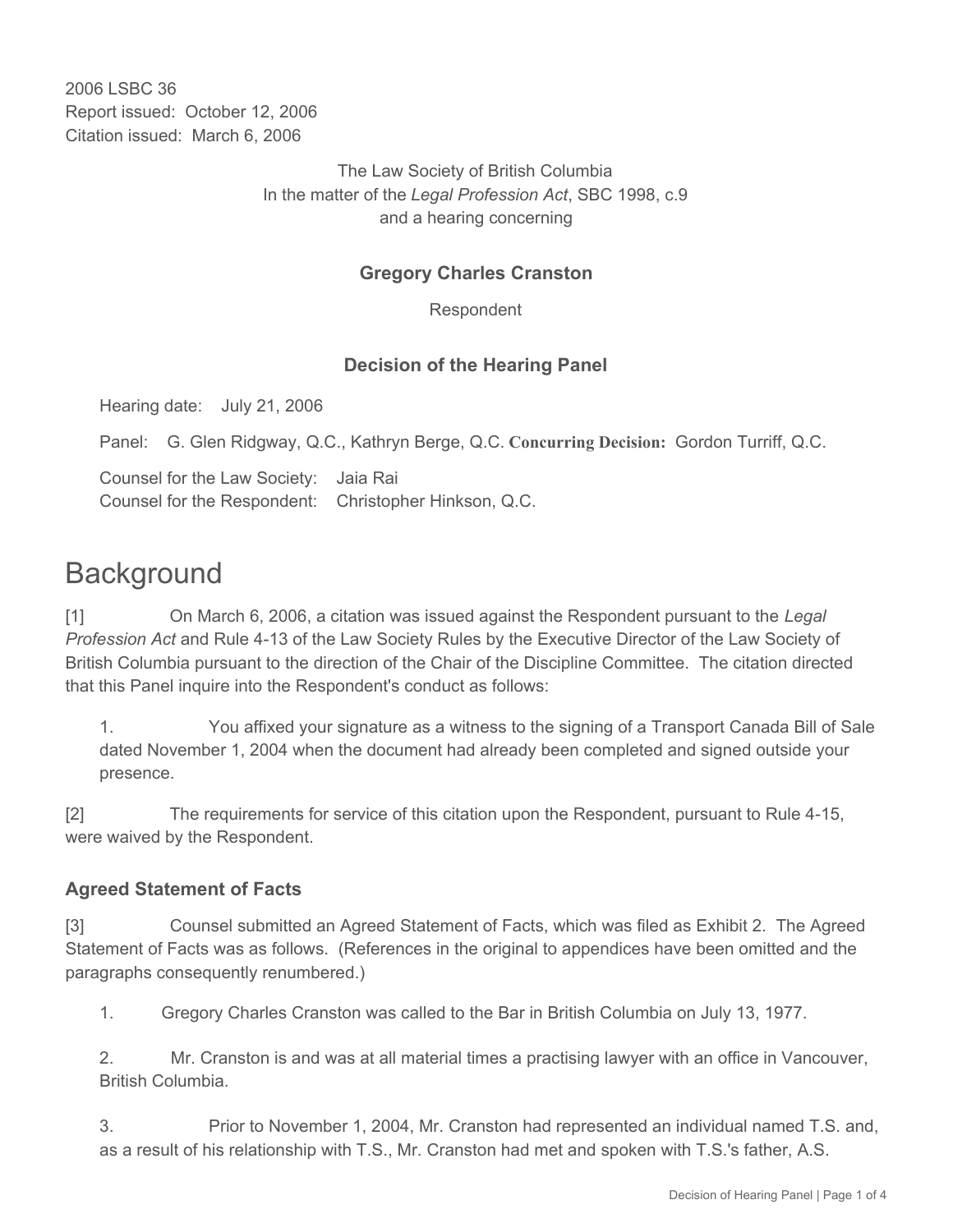2006 LSBC 36 Report issued: October 12, 2006 Citation issued: March 6, 2006

> The Law Society of British Columbia In the matter of the *Legal Profession Act*, SBC 1998, c.9 and a hearing concerning

# **Gregory Charles Cranston**

Respondent

## **Decision of the Hearing Panel**

Hearing date: July 21, 2006

Panel: G. Glen Ridgway, Q.C., Kathryn Berge, Q.C. **Concurring Decision:** Gordon Turriff, Q.C.

Counsel for the Law Society: Jaia Rai Counsel for the Respondent: Christopher Hinkson, Q.C.

# **Background**

[1] On March 6, 2006, a citation was issued against the Respondent pursuant to the *Legal Profession Act* and Rule 4-13 of the Law Society Rules by the Executive Director of the Law Society of British Columbia pursuant to the direction of the Chair of the Discipline Committee. The citation directed that this Panel inquire into the Respondent's conduct as follows:

1. You affixed your signature as a witness to the signing of a Transport Canada Bill of Sale dated November 1, 2004 when the document had already been completed and signed outside your presence.

[2] The requirements for service of this citation upon the Respondent, pursuant to Rule 4-15, were waived by the Respondent.

#### **Agreed Statement of Facts**

[3] Counsel submitted an Agreed Statement of Facts, which was filed as Exhibit 2. The Agreed Statement of Facts was as follows. (References in the original to appendices have been omitted and the paragraphs consequently renumbered.)

1. Gregory Charles Cranston was called to the Bar in British Columbia on July 13, 1977.

2. Mr. Cranston is and was at all material times a practising lawyer with an office in Vancouver, British Columbia.

3. Prior to November 1, 2004, Mr. Cranston had represented an individual named T.S. and, as a result of his relationship with T.S., Mr. Cranston had met and spoken with T.S.'s father, A.S.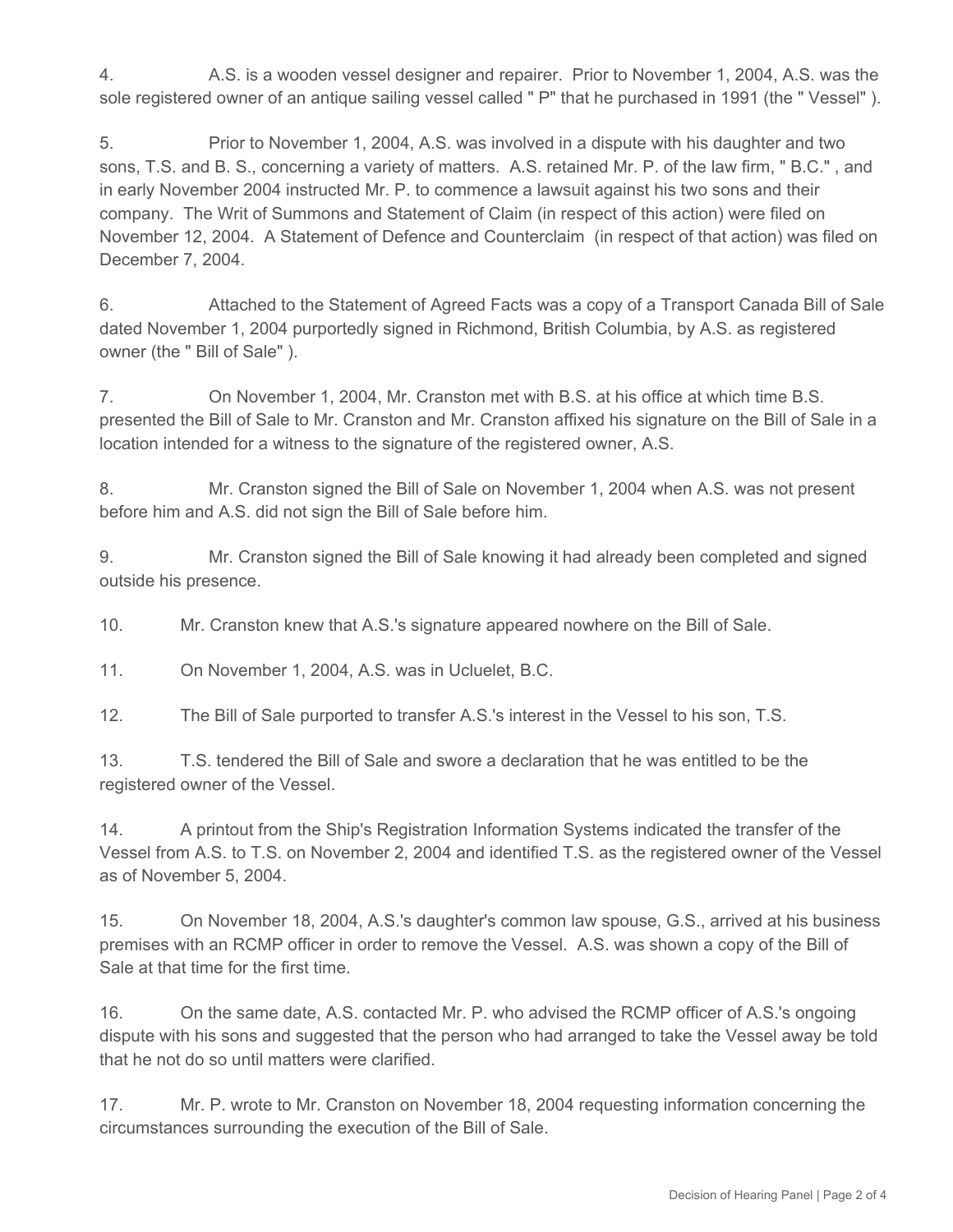4. A.S. is a wooden vessel designer and repairer. Prior to November 1, 2004, A.S. was the sole registered owner of an antique sailing vessel called " P" that he purchased in 1991 (the " Vessel" ).

5. Prior to November 1, 2004, A.S. was involved in a dispute with his daughter and two sons, T.S. and B. S., concerning a variety of matters. A.S. retained Mr. P. of the law firm, " B.C." , and in early November 2004 instructed Mr. P. to commence a lawsuit against his two sons and their company. The Writ of Summons and Statement of Claim (in respect of this action) were filed on November 12, 2004. A Statement of Defence and Counterclaim (in respect of that action) was filed on December 7, 2004.

6. Attached to the Statement of Agreed Facts was a copy of a Transport Canada Bill of Sale dated November 1, 2004 purportedly signed in Richmond, British Columbia, by A.S. as registered owner (the " Bill of Sale" ).

7. On November 1, 2004, Mr. Cranston met with B.S. at his office at which time B.S. presented the Bill of Sale to Mr. Cranston and Mr. Cranston affixed his signature on the Bill of Sale in a location intended for a witness to the signature of the registered owner, A.S.

8. Mr. Cranston signed the Bill of Sale on November 1, 2004 when A.S. was not present before him and A.S. did not sign the Bill of Sale before him.

9. Mr. Cranston signed the Bill of Sale knowing it had already been completed and signed outside his presence.

10. Mr. Cranston knew that A.S.'s signature appeared nowhere on the Bill of Sale.

11. On November 1, 2004, A.S. was in Ucluelet, B.C.

12. The Bill of Sale purported to transfer A.S.'s interest in the Vessel to his son, T.S.

13. T.S. tendered the Bill of Sale and swore a declaration that he was entitled to be the registered owner of the Vessel.

14. A printout from the Ship's Registration Information Systems indicated the transfer of the Vessel from A.S. to T.S. on November 2, 2004 and identified T.S. as the registered owner of the Vessel as of November 5, 2004.

15. On November 18, 2004, A.S.'s daughter's common law spouse, G.S., arrived at his business premises with an RCMP officer in order to remove the Vessel. A.S. was shown a copy of the Bill of Sale at that time for the first time.

16. On the same date, A.S. contacted Mr. P. who advised the RCMP officer of A.S.'s ongoing dispute with his sons and suggested that the person who had arranged to take the Vessel away be told that he not do so until matters were clarified.

17. Mr. P. wrote to Mr. Cranston on November 18, 2004 requesting information concerning the circumstances surrounding the execution of the Bill of Sale.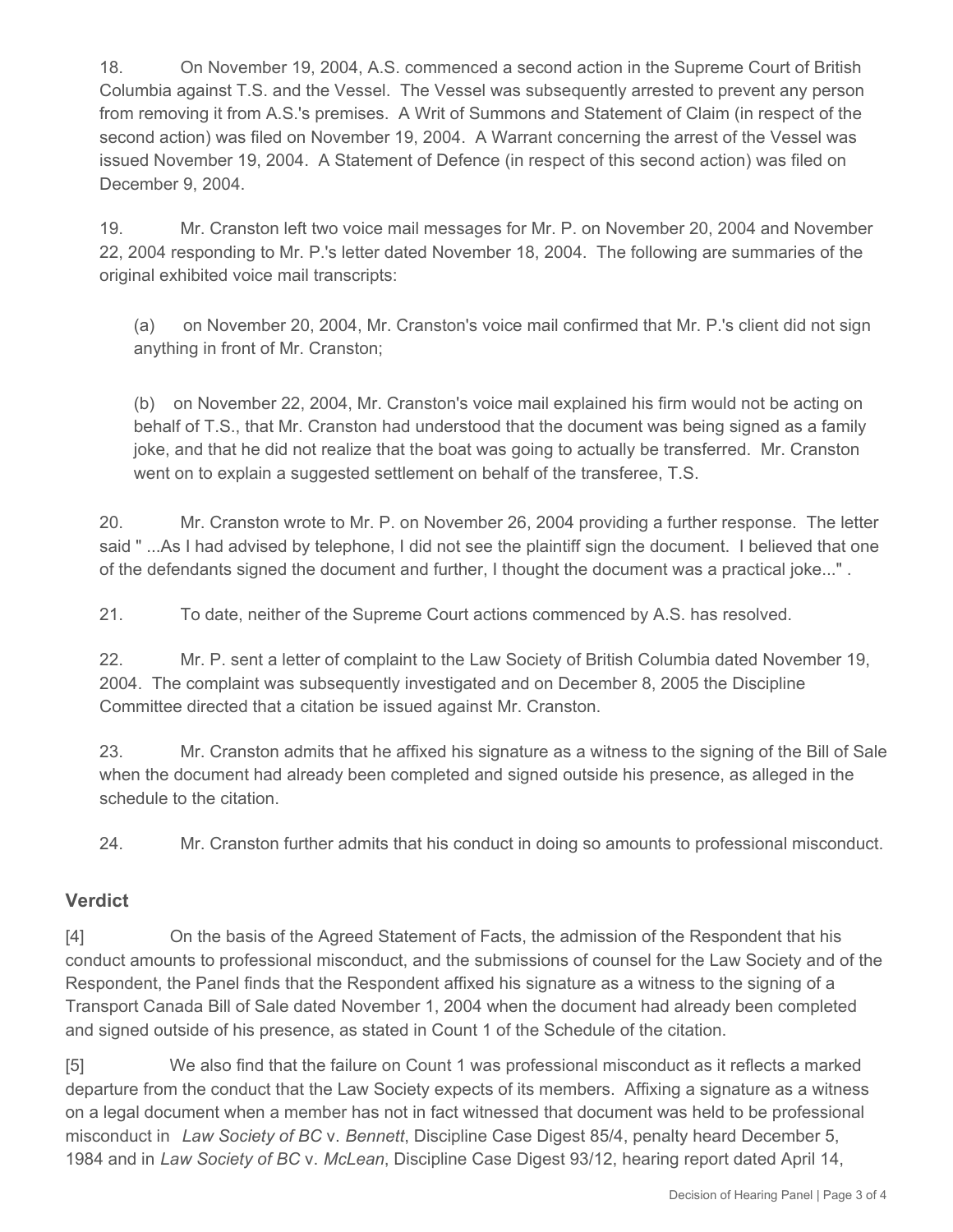18. On November 19, 2004, A.S. commenced a second action in the Supreme Court of British Columbia against T.S. and the Vessel. The Vessel was subsequently arrested to prevent any person from removing it from A.S.'s premises. A Writ of Summons and Statement of Claim (in respect of the second action) was filed on November 19, 2004. A Warrant concerning the arrest of the Vessel was issued November 19, 2004. A Statement of Defence (in respect of this second action) was filed on December 9, 2004.

19. Mr. Cranston left two voice mail messages for Mr. P. on November 20, 2004 and November 22, 2004 responding to Mr. P.'s letter dated November 18, 2004. The following are summaries of the original exhibited voice mail transcripts:

(a) on November 20, 2004, Mr. Cranston's voice mail confirmed that Mr. P.'s client did not sign anything in front of Mr. Cranston;

(b) on November 22, 2004, Mr. Cranston's voice mail explained his firm would not be acting on behalf of T.S., that Mr. Cranston had understood that the document was being signed as a family joke, and that he did not realize that the boat was going to actually be transferred. Mr. Cranston went on to explain a suggested settlement on behalf of the transferee, T.S.

20. Mr. Cranston wrote to Mr. P. on November 26, 2004 providing a further response. The letter said " ...As I had advised by telephone, I did not see the plaintiff sign the document. I believed that one of the defendants signed the document and further, I thought the document was a practical joke..." .

21. To date, neither of the Supreme Court actions commenced by A.S. has resolved.

22. Mr. P. sent a letter of complaint to the Law Society of British Columbia dated November 19, 2004. The complaint was subsequently investigated and on December 8, 2005 the Discipline Committee directed that a citation be issued against Mr. Cranston.

23. Mr. Cranston admits that he affixed his signature as a witness to the signing of the Bill of Sale when the document had already been completed and signed outside his presence, as alleged in the schedule to the citation.

24. Mr. Cranston further admits that his conduct in doing so amounts to professional misconduct.

## **Verdict**

[4] On the basis of the Agreed Statement of Facts, the admission of the Respondent that his conduct amounts to professional misconduct, and the submissions of counsel for the Law Society and of the Respondent, the Panel finds that the Respondent affixed his signature as a witness to the signing of a Transport Canada Bill of Sale dated November 1, 2004 when the document had already been completed and signed outside of his presence, as stated in Count 1 of the Schedule of the citation.

[5] We also find that the failure on Count 1 was professional misconduct as it reflects a marked departure from the conduct that the Law Society expects of its members. Affixing a signature as a witness on a legal document when a member has not in fact witnessed that document was held to be professional misconduct in *Law Society of BC* v. *Bennett*, Discipline Case Digest 85/4, penalty heard December 5, 1984 and in *Law Society of BC* v. *McLean*, Discipline Case Digest 93/12, hearing report dated April 14,